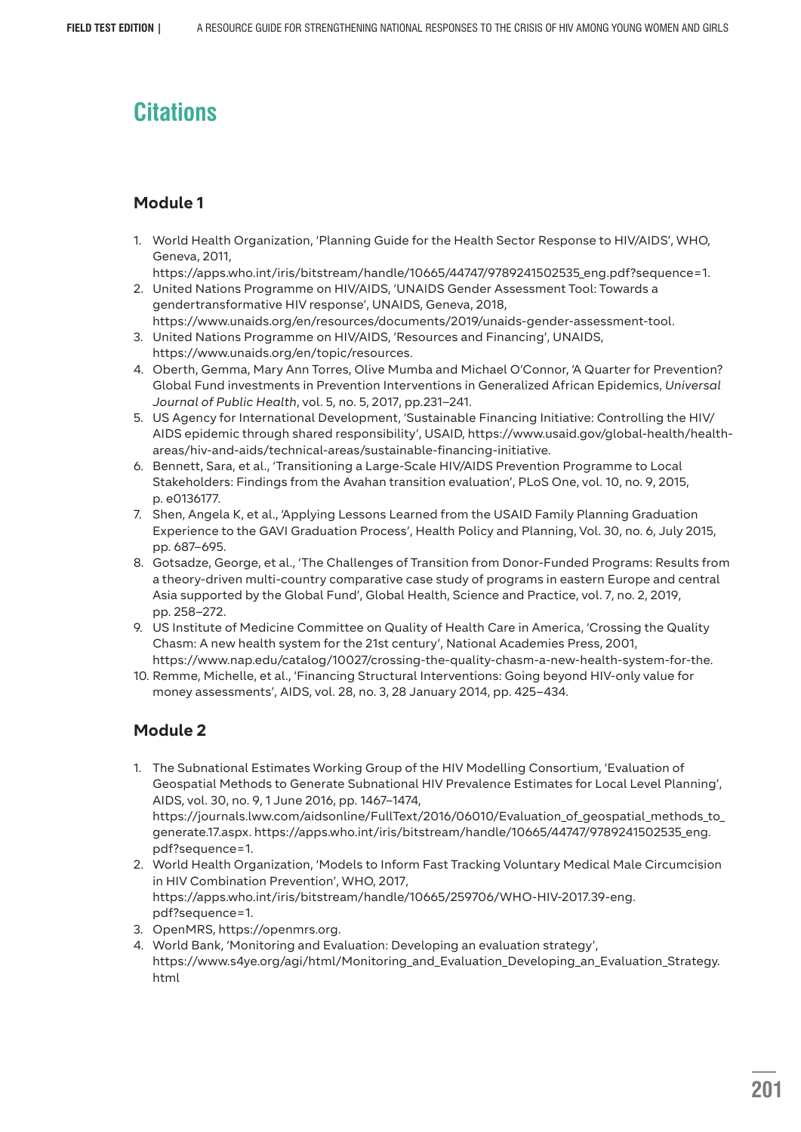# **Citations**

## **Module 1**

1. World Health Organization, 'Planning Guide for the Health Sector Response to HIV/AIDS', WHO, Geneva, 2011,

https://apps.who.int/iris/bitstream/handle/10665/44747/9789241502535\_eng.pdf?sequence=1.

- 2. United Nations Programme on HIV/AIDS, 'UNAIDS Gender Assessment Tool: Towards a gendertransformative HIV response', UNAIDS, Geneva, 2018, https://www.unaids.org/en/resources/documents/2019/unaids-gender-assessment-tool.
- 3. United Nations Programme on HIV/AIDS, 'Resources and Financing', UNAIDS, https://www.unaids.org/en/topic/resources.
- 4. Oberth, Gemma, Mary Ann Torres, Olive Mumba and Michael O'Connor, 'A Quarter for Prevention? Global Fund investments in Prevention Interventions in Generalized African Epidemics, *Universal Journal of Public Health*, vol. 5, no. 5, 2017, pp.231–241.
- 5. US Agency for International Development, 'Sustainable Financing Initiative: Controlling the HIV/ AIDS epidemic through shared responsibility', USAID, https://www.usaid.gov/global-health/healthareas/hiv-and-aids/technical-areas/sustainable-financing-initiative.
- 6. Bennett, Sara, et al., 'Transitioning a Large-Scale HIV/AIDS Prevention Programme to Local Stakeholders: Findings from the Avahan transition evaluation', PLoS One, vol. 10, no. 9, 2015, p. e0136177.
- 7. Shen, Angela K, et al., 'Applying Lessons Learned from the USAID Family Planning Graduation Experience to the GAVI Graduation Process', Health Policy and Planning, Vol. 30, no. 6, July 2015, pp. 687–695.
- 8. Gotsadze, George, et al., 'The Challenges of Transition from Donor-Funded Programs: Results from a theory-driven multi-country comparative case study of programs in eastern Europe and central Asia supported by the Global Fund', Global Health, Science and Practice, vol. 7, no. 2, 2019, pp. 258–272.
- 9. US Institute of Medicine Committee on Quality of Health Care in America, 'Crossing the Quality Chasm: A new health system for the 21st century', National Academies Press, 2001, https://www.nap.edu/catalog/10027/crossing-the-quality-chasm-a-new-health-system-for-the.
- 10. Remme, Michelle, et al., 'Financing Structural Interventions: Going beyond HIV-only value for money assessments', AIDS, vol. 28, no. 3, 28 January 2014, pp. 425–434.

- 1. The Subnational Estimates Working Group of the HIV Modelling Consortium, 'Evaluation of Geospatial Methods to Generate Subnational HIV Prevalence Estimates for Local Level Planning', AIDS, vol. 30, no. 9, 1 June 2016, pp. 1467–1474, https://journals.lww.com/aidsonline/FullText/2016/06010/Evaluation\_of\_geospatial\_methods\_to\_ generate.17.aspx. https://apps.who.int/iris/bitstream/handle/10665/44747/9789241502535\_eng. pdf?sequence=1.
- 2. World Health Organization, 'Models to Inform Fast Tracking Voluntary Medical Male Circumcision in HIV Combination Prevention', WHO, 2017, https://apps.who.int/iris/bitstream/handle/10665/259706/WHO-HIV-2017.39-eng. pdf?sequence=1.
- 3. OpenMRS, https://openmrs.org.
- 4. World Bank, 'Monitoring and Evaluation: Developing an evaluation strategy', https://www.s4ye.org/agi/html/Monitoring\_and\_Evaluation\_Developing\_an\_Evaluation\_Strategy. html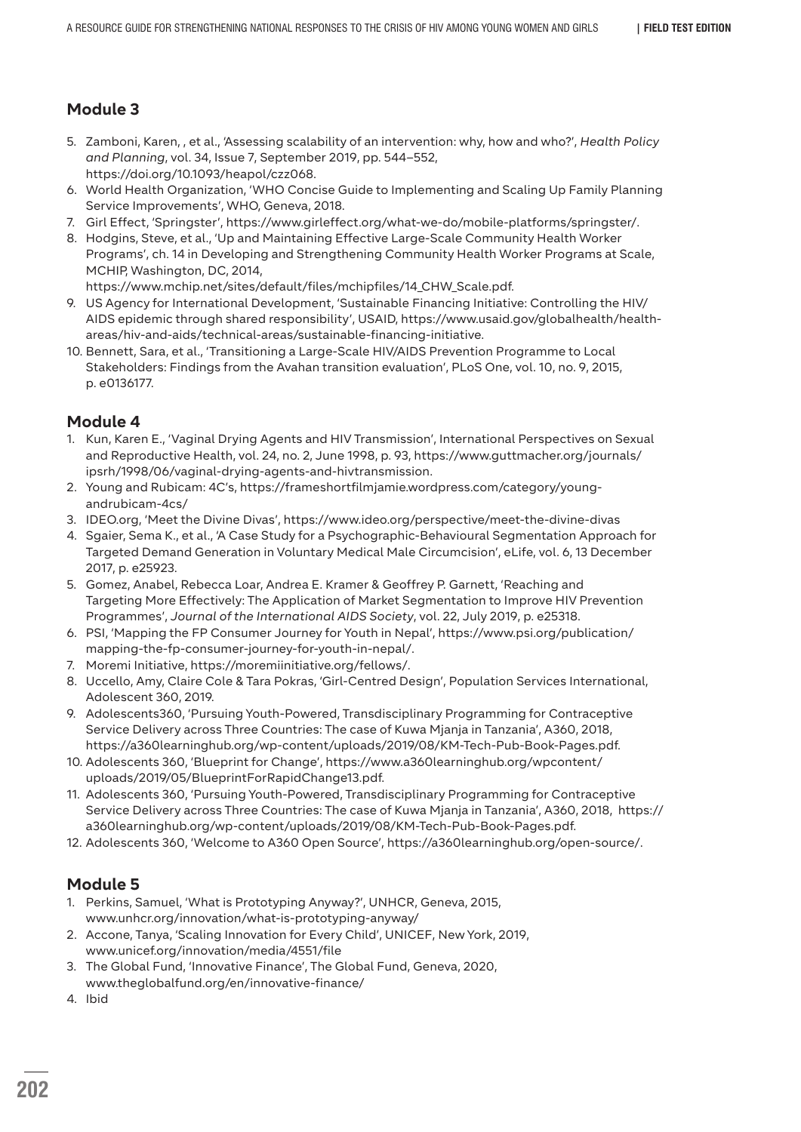- 5. Zamboni, Karen, , et al., 'Assessing scalability of an intervention: why, how and who?', *Health Policy and Planning*, vol. 34, Issue 7, September 2019, pp. 544–552, https://doi.org/10.1093/heapol/czz068.
- 6. World Health Organization, 'WHO Concise Guide to Implementing and Scaling Up Family Planning Service Improvements', WHO, Geneva, 2018.
- 7. Girl Effect, 'Springster', https://www.girleffect.org/what-we-do/mobile-platforms/springster/.
- 8. Hodgins, Steve, et al., 'Up and Maintaining Effective Large-Scale Community Health Worker Programs', ch. 14 in Developing and Strengthening Community Health Worker Programs at Scale, MCHIP, Washington, DC, 2014,

https://www.mchip.net/sites/default/files/mchipfiles/14\_CHW\_Scale.pdf.

- 9. US Agency for International Development, 'Sustainable Financing Initiative: Controlling the HIV/ AIDS epidemic through shared responsibility', USAID, https://www.usaid.gov/globalhealth/healthareas/hiv-and-aids/technical-areas/sustainable-financing-initiative.
- 10. Bennett, Sara, et al., 'Transitioning a Large-Scale HIV/AIDS Prevention Programme to Local Stakeholders: Findings from the Avahan transition evaluation', PLoS One, vol. 10, no. 9, 2015, p. e0136177.

## **Module 4**

- 1. Kun, Karen E., 'Vaginal Drying Agents and HIV Transmission', International Perspectives on Sexual and Reproductive Health, vol. 24, no. 2, June 1998, p. 93, https://www.guttmacher.org/journals/ ipsrh/1998/06/vaginal-drying-agents-and-hivtransmission.
- 2. Young and Rubicam: 4C's, https://frameshortfilmjamie.wordpress.com/category/youngandrubicam-4cs/
- 3. IDEO.org, 'Meet the Divine Divas', https://www.ideo.org/perspective/meet-the-divine-divas
- 4. Sgaier, Sema K., et al., 'A Case Study for a Psychographic-Behavioural Segmentation Approach for Targeted Demand Generation in Voluntary Medical Male Circumcision', eLife, vol. 6, 13 December 2017, p. e25923.
- 5. Gomez, Anabel, Rebecca Loar, Andrea E. Kramer & Geoffrey P. Garnett, 'Reaching and Targeting More Effectively: The Application of Market Segmentation to Improve HIV Prevention Programmes', *Journal of the International AIDS Society*, vol. 22, July 2019, p. e25318.
- 6. PSI, 'Mapping the FP Consumer Journey for Youth in Nepal', https://www.psi.org/publication/ mapping-the-fp-consumer-journey-for-youth-in-nepal/.
- 7. Moremi Initiative, https://moremiinitiative.org/fellows/.
- 8. Uccello, Amy, Claire Cole & Tara Pokras, 'Girl-Centred Design', Population Services International, Adolescent 360, 2019.
- 9. Adolescents360, 'Pursuing Youth-Powered, Transdisciplinary Programming for Contraceptive Service Delivery across Three Countries: The case of Kuwa Mjanja in Tanzania', A360, 2018, https://a360learninghub.org/wp-content/uploads/2019/08/KM-Tech-Pub-Book-Pages.pdf.
- 10. Adolescents 360, 'Blueprint for Change', https://www.a360learninghub.org/wpcontent/ uploads/2019/05/BlueprintForRapidChange13.pdf.
- 11. Adolescents 360, 'Pursuing Youth-Powered, Transdisciplinary Programming for Contraceptive Service Delivery across Three Countries: The case of Kuwa Mjanja in Tanzania', A360, 2018, https:// a360learninghub.org/wp-content/uploads/2019/08/KM-Tech-Pub-Book-Pages.pdf.
- 12. Adolescents 360, 'Welcome to A360 Open Source', https://a360learninghub.org/open-source/.

- 1. Perkins, Samuel, 'What is Prototyping Anyway?', UNHCR, Geneva, 2015, www.unhcr.org/innovation/what-is-prototyping-anyway/
- 2. Accone, Tanya, 'Scaling Innovation for Every Child', UNICEF, New York, 2019, www.unicef.org/innovation/media/4551/file
- 3. The Global Fund, 'Innovative Finance', The Global Fund, Geneva, 2020, www.theglobalfund.org/en/innovative-finance/
- 4. Ibid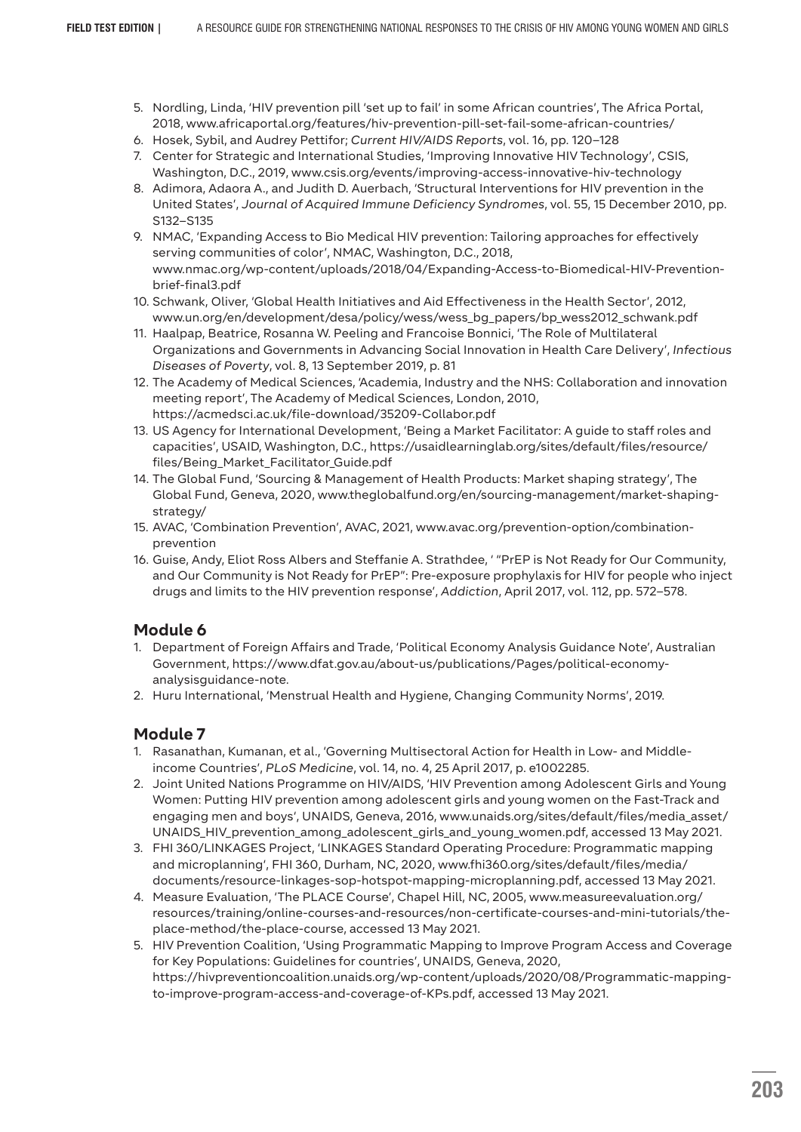- 5. Nordling, Linda, 'HIV prevention pill 'set up to fail' in some African countries', The Africa Portal, 2018, www.africaportal.org/features/hiv-prevention-pill-set-fail-some-african-countries/
- 6. Hosek, Sybil, and Audrey Pettifor; *Current HIV/AIDS Reports*, vol. 16, pp. 120–128
- 7. Center for Strategic and International Studies, 'Improving Innovative HIV Technology', CSIS, Washington, D.C., 2019, www.csis.org/events/improving-access-innovative-hiv-technology
- 8. Adimora, Adaora A., and Judith D. Auerbach, 'Structural Interventions for HIV prevention in the United States', *Journal of Acquired Immune Deficiency Syndromes*, vol. 55, 15 December 2010, pp. S132–S135
- 9. NMAC, 'Expanding Access to Bio Medical HIV prevention: Tailoring approaches for effectively serving communities of color', NMAC, Washington, D.C., 2018, www.nmac.org/wp-content/uploads/2018/04/Expanding-Access-to-Biomedical-HIV-Preventionbrief-final3.pdf
- 10. Schwank, Oliver, 'Global Health Initiatives and Aid Effectiveness in the Health Sector', 2012, www.un.org/en/development/desa/policy/wess/wess\_bg\_papers/bp\_wess2012\_schwank.pdf
- 11. Haalpap, Beatrice, Rosanna W. Peeling and Francoise Bonnici, 'The Role of Multilateral Organizations and Governments in Advancing Social Innovation in Health Care Delivery', *Infectious Diseases of Poverty*, vol. 8, 13 September 2019, p. 81
- 12. The Academy of Medical Sciences, 'Academia, Industry and the NHS: Collaboration and innovation meeting report', The Academy of Medical Sciences, London, 2010, https://acmedsci.ac.uk/file-download/35209-Collabor.pdf
- 13. US Agency for International Development, 'Being a Market Facilitator: A guide to staff roles and capacities', USAID, Washington, D.C., https://usaidlearninglab.org/sites/default/files/resource/ files/Being\_Market\_Facilitator\_Guide.pdf
- 14. The Global Fund, 'Sourcing & Management of Health Products: Market shaping strategy', The Global Fund, Geneva, 2020, www.theglobalfund.org/en/sourcing-management/market-shapingstrategy/
- 15. AVAC, 'Combination Prevention', AVAC, 2021, www.avac.org/prevention-option/combinationprevention
- 16. Guise, Andy, Eliot Ross Albers and Steffanie A. Strathdee, ' "PrEP is Not Ready for Our Community, and Our Community is Not Ready for PrEP": Pre-exposure prophylaxis for HIV for people who inject drugs and limits to the HIV prevention response', *Addiction*, April 2017, vol. 112, pp. 572–578.

- 1. Department of Foreign Affairs and Trade, 'Political Economy Analysis Guidance Note', Australian Government, https://www.dfat.gov.au/about-us/publications/Pages/political-economyanalysisguidance-note.
- 2. Huru International, 'Menstrual Health and Hygiene, Changing Community Norms', 2019.

- 1. Rasanathan, Kumanan, et al., 'Governing Multisectoral Action for Health in Low- and Middleincome Countries', *PLoS Medicine*, vol. 14, no. 4, 25 April 2017, p. e1002285.
- 2. Joint United Nations Programme on HIV/AIDS, 'HIV Prevention among Adolescent Girls and Young Women: Putting HIV prevention among adolescent girls and young women on the Fast-Track and engaging men and boys', UNAIDS, Geneva, 2016, www.unaids.org/sites/default/files/media\_asset/ UNAIDS\_HIV\_prevention\_among\_adolescent\_girls\_and\_young\_women.pdf, accessed 13 May 2021.
- 3. FHI 360/LINKAGES Project, 'LINKAGES Standard Operating Procedure: Programmatic mapping and microplanning', FHI 360, Durham, NC, 2020, www.fhi360.org/sites/default/files/media/ documents/resource-linkages-sop-hotspot-mapping-microplanning.pdf, accessed 13 May 2021.
- 4. Measure Evaluation, 'The PLACE Course', Chapel Hill, NC, 2005, www.measureevaluation.org/ resources/training/online-courses-and-resources/non-certificate-courses-and-mini-tutorials/theplace-method/the-place-course, accessed 13 May 2021.
- 5. HIV Prevention Coalition, 'Using Programmatic Mapping to Improve Program Access and Coverage for Key Populations: Guidelines for countries', UNAIDS, Geneva, 2020, https://hivpreventioncoalition.unaids.org/wp-content/uploads/2020/08/Programmatic-mappingto-improve-program-access-and-coverage-of-KPs.pdf, accessed 13 May 2021.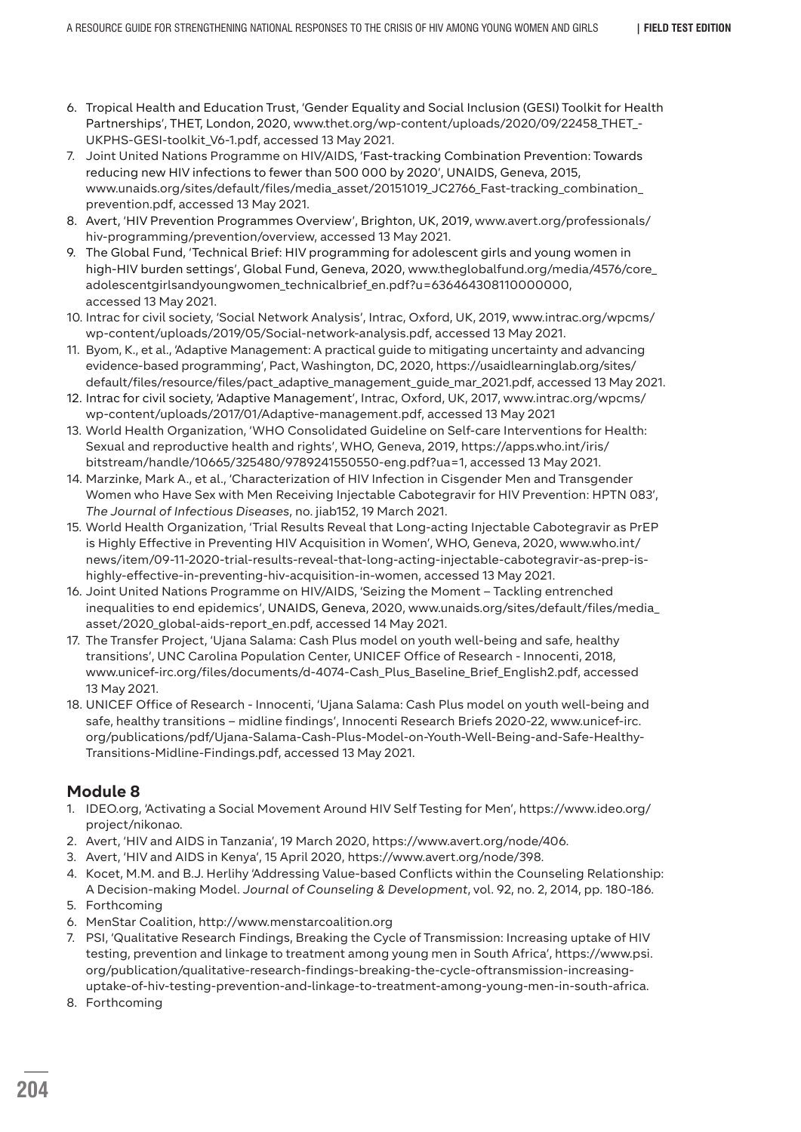- 6. Tropical Health and Education Trust, 'Gender Equality and Social Inclusion (GESI) Toolkit for Health Partnerships', THET, London, 2020, www.thet.org/wp-content/uploads/2020/09/22458\_THET\_- UKPHS-GESI-toolkit\_V6-1.pdf, accessed 13 May 2021.
- 7. Joint United Nations Programme on HIV/AIDS, 'Fast-tracking Combination Prevention: Towards reducing new HIV infections to fewer than 500 000 by 2020', UNAIDS, Geneva, 2015, www.unaids.org/sites/default/files/media\_asset/20151019\_JC2766\_Fast-tracking\_combination\_ prevention.pdf, accessed 13 May 2021.
- 8. Avert, 'HIV Prevention Programmes Overview', Brighton, UK, 2019, www.avert.org/professionals/ hiv-programming/prevention/overview, accessed 13 May 2021.
- 9. The Global Fund, 'Technical Brief: HIV programming for adolescent girls and young women in high-HIV burden settings', Global Fund, Geneva, 2020, www.theglobalfund.org/media/4576/core\_ adolescentgirlsandyoungwomen\_technicalbrief\_en.pdf?u=636464308110000000, accessed 13 May 2021.
- 10. Intrac for civil society, 'Social Network Analysis', Intrac, Oxford, UK, 2019, www.intrac.org/wpcms/ wp-content/uploads/2019/05/Social-network-analysis.pdf, accessed 13 May 2021.
- 11. Byom, K., et al., 'Adaptive Management: A practical guide to mitigating uncertainty and advancing evidence-based programming', Pact, Washington, DC, 2020, https://usaidlearninglab.org/sites/ default/files/resource/files/pact\_adaptive\_management\_guide\_mar\_2021.pdf, accessed 13 May 2021.
- 12. Intrac for civil society, 'Adaptive Management', Intrac, Oxford, UK, 2017, www.intrac.org/wpcms/ wp-content/uploads/2017/01/Adaptive-management.pdf, accessed 13 May 2021
- 13. World Health Organization, 'WHO Consolidated Guideline on Self-care Interventions for Health: Sexual and reproductive health and rights', WHO, Geneva, 2019, https://apps.who.int/iris/ bitstream/handle/10665/325480/9789241550550-eng.pdf?ua=1, accessed 13 May 2021.
- 14. Marzinke, Mark A., et al., 'Characterization of HIV Infection in Cisgender Men and Transgender Women who Have Sex with Men Receiving Injectable Cabotegravir for HIV Prevention: HPTN 083', *The Journal of Infectious Diseases*, no. jiab152, 19 March 2021.
- 15. World Health Organization, 'Trial Results Reveal that Long-acting Injectable Cabotegravir as PrEP is Highly Effective in Preventing HIV Acquisition in Women', WHO, Geneva, 2020, www.who.int/ news/item/09-11-2020-trial-results-reveal-that-long-acting-injectable-cabotegravir-as-prep-ishighly-effective-in-preventing-hiv-acquisition-in-women, accessed 13 May 2021.
- 16. Joint United Nations Programme on HIV/AIDS, 'Seizing the Moment Tackling entrenched inequalities to end epidemics', UNAIDS, Geneva, 2020, www.unaids.org/sites/default/files/media\_ asset/2020\_global-aids-report\_en.pdf, accessed 14 May 2021.
- 17. The Transfer Project, 'Ujana Salama: Cash Plus model on youth well-being and safe, healthy transitions', UNC Carolina Population Center, UNICEF Office of Research - Innocenti, 2018, www.unicef-irc.org/files/documents/d-4074-Cash\_Plus\_Baseline\_Brief\_English2.pdf, accessed 13 May 2021.
- 18. UNICEF Office of Research Innocenti, 'Ujana Salama: Cash Plus model on youth well-being and safe, healthy transitions – midline findings', Innocenti Research Briefs 2020-22, www.unicef-irc. org/publications/pdf/Ujana-Salama-Cash-Plus-Model-on-Youth-Well-Being-and-Safe-Healthy-Transitions-Midline-Findings.pdf, accessed 13 May 2021.

- 1. IDEO.org, 'Activating a Social Movement Around HIV Self Testing for Men', https://www.ideo.org/ project/nikonao.
- 2. Avert, 'HIV and AIDS in Tanzania', 19 March 2020, https://www.avert.org/node/406.
- 3. Avert, 'HIV and AIDS in Kenya', 15 April 2020, https://www.avert.org/node/398.
- 4. Kocet, M.M. and B.J. Herlihy 'Addressing Value-based Conflicts within the Counseling Relationship: A Decision-making Model. *Journal of Counseling & Development*, vol. 92, no. 2, 2014, pp. 180-186.
- 5. Forthcoming
- 6. MenStar Coalition, http://www.menstarcoalition.org
- 7. PSI, 'Qualitative Research Findings, Breaking the Cycle of Transmission: Increasing uptake of HIV testing, prevention and linkage to treatment among young men in South Africa', https://www.psi. org/publication/qualitative-research-findings-breaking-the-cycle-oftransmission-increasinguptake-of-hiv-testing-prevention-and-linkage-to-treatment-among-young-men-in-south-africa.
- 8. Forthcoming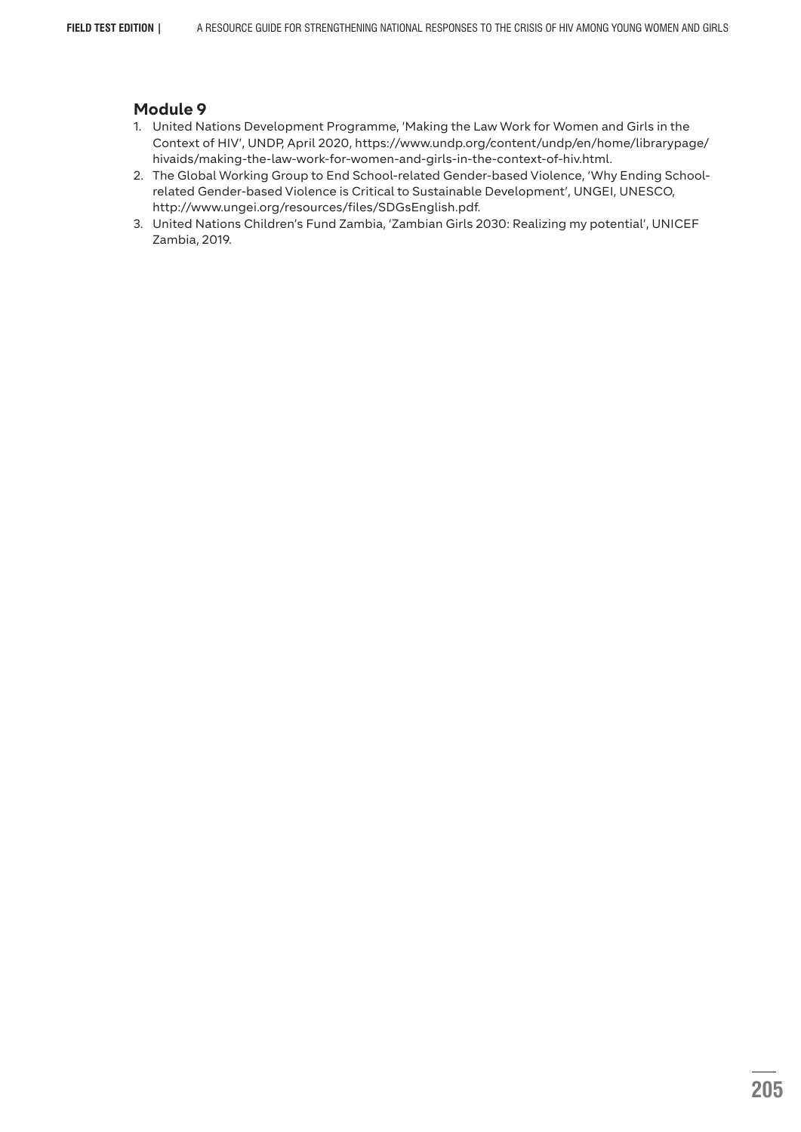- 1. United Nations Development Programme, 'Making the Law Work for Women and Girls in the Context of HIV', UNDP, April 2020, https://www.undp.org/content/undp/en/home/librarypage/ hivaids/making-the-law-work-for-women-and-girls-in-the-context-of-hiv.html.
- 2. The Global Working Group to End School-related Gender-based Violence, 'Why Ending Schoolrelated Gender-based Violence is Critical to Sustainable Development', UNGEI, UNESCO, http://www.ungei.org/resources/files/SDGsEnglish.pdf.
- 3. United Nations Children's Fund Zambia, 'Zambian Girls 2030: Realizing my potential', UNICEF Zambia, 2019.